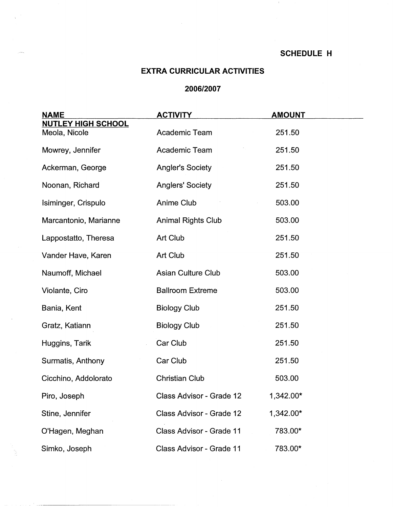$\cdot$ 

## **EXTRA CURRICULAR ACTIVITIES**

## **2006/2007**

| <b>NAME</b>                                | <b>ACTIVITY</b>           | <b>AMOUNT</b> |
|--------------------------------------------|---------------------------|---------------|
| <b>NUTLEY HIGH SCHOOL</b><br>Meola, Nicole | Academic Team             | 251.50        |
| Mowrey, Jennifer                           | Academic Team             | 251.50        |
| Ackerman, George                           | <b>Angler's Society</b>   | 251.50        |
| Noonan, Richard                            | <b>Anglers' Society</b>   | 251.50        |
| Isiminger, Crispulo                        | Anime Club                | 503.00        |
| Marcantonio, Marianne                      | <b>Animal Rights Club</b> | 503.00        |
| Lappostatto, Theresa                       | Art Club                  | 251.50        |
| Vander Have, Karen                         | Art Club                  | 251.50        |
| Naumoff, Michael                           | <b>Asian Culture Club</b> | 503.00        |
| Violante, Ciro                             | <b>Ballroom Extreme</b>   | 503.00        |
| Bania, Kent                                | <b>Biology Club</b>       | 251.50        |
| Gratz, Katiann                             | <b>Biology Club</b>       | 251.50        |
| Huggins, Tarik                             | Car Club                  | 251.50        |
| Surmatis, Anthony                          | Car Club                  | 251.50        |
| Cicchino, Addolorato                       | <b>Christian Club</b>     | 503.00        |
| Piro, Joseph                               | Class Advisor - Grade 12  | 1,342.00*     |
| Stine, Jennifer                            | Class Advisor - Grade 12  | 1,342.00*     |
| O'Hagen, Meghan                            | Class Advisor - Grade 11  | 783.00*       |
| Simko, Joseph                              | Class Advisor - Grade 11  | 783.00*       |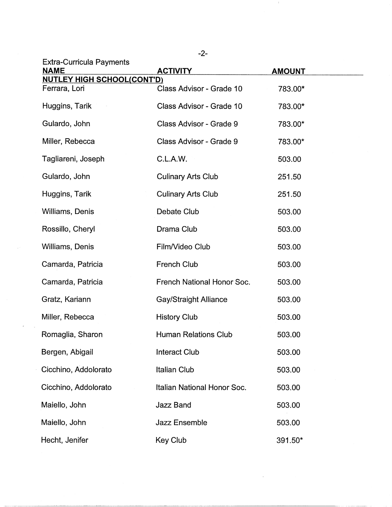| <b>Extra-Curricula Payments</b><br><b>NAME</b> | <b>ACTIVITY</b>              | <b>AMOUNT</b> |  |
|------------------------------------------------|------------------------------|---------------|--|
| <b>NUTLEY HIGH SCHOOL(CONT'D)</b>              |                              |               |  |
| Ferrara, Lori                                  | Class Advisor - Grade 10     | 783.00*       |  |
| Huggins, Tarik                                 | Class Advisor - Grade 10     | 783.00*       |  |
| Gulardo, John                                  | Class Advisor - Grade 9      | 783.00*       |  |
| Miller, Rebecca                                | Class Advisor - Grade 9      | 783.00*       |  |
| Tagliareni, Joseph                             | C.L.A.W.                     | 503.00        |  |
| Gulardo, John                                  | <b>Culinary Arts Club</b>    | 251.50        |  |
| Huggins, Tarik                                 | <b>Culinary Arts Club</b>    | 251.50        |  |
| Williams, Denis                                | Debate Club                  | 503.00        |  |
| Rossillo, Cheryl                               | Drama Club                   | 503.00        |  |
| Williams, Denis                                | Film/Video Club              | 503.00        |  |
| Camarda, Patricia                              | <b>French Club</b>           | 503.00        |  |
| Camarda, Patricia                              | French National Honor Soc.   | 503.00        |  |
| Gratz, Kariann                                 | <b>Gay/Straight Alliance</b> | 503.00        |  |
| Miller, Rebecca                                | <b>History Club</b>          | 503.00        |  |
| Romaglia, Sharon                               | <b>Human Relations Club</b>  | 503.00        |  |
| Bergen, Abigail                                | <b>Interact Club</b>         | 503.00        |  |
| Cicchino, Addolorato                           | <b>Italian Club</b>          | 503.00        |  |
| Cicchino, Addolorato                           | Italian National Honor Soc.  | 503.00        |  |
| Maiello, John                                  | <b>Jazz Band</b>             | 503.00        |  |
| Maiello, John                                  | <b>Jazz Ensemble</b>         | 503.00        |  |
| Hecht, Jenifer                                 | Key Club                     | 391.50*       |  |

-2-

 $\sim 2$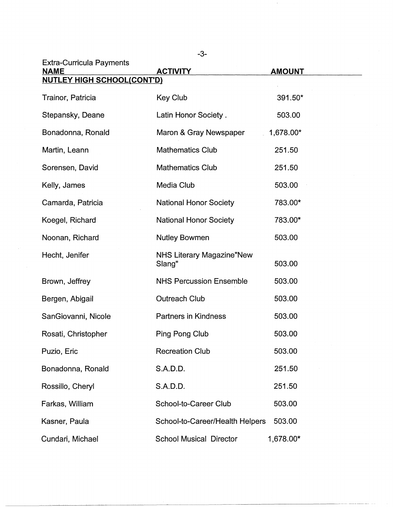| <b>Extra-Curricula Payments</b><br><b>NAME</b> | <b>ACTIVITY</b>                            | <b>AMOUNT</b> |
|------------------------------------------------|--------------------------------------------|---------------|
| <b>NUTLEY HIGH SCHOOL(CONT'D)</b>              |                                            |               |
| Trainor, Patricia                              | <b>Key Club</b>                            | 391.50*       |
| Stepansky, Deane                               | Latin Honor Society.                       | 503.00        |
| Bonadonna, Ronald                              | Maron & Gray Newspaper                     | 1,678.00*     |
| Martin, Leann                                  | <b>Mathematics Club</b>                    | 251.50        |
| Sorensen, David                                | <b>Mathematics Club</b>                    | 251.50        |
| Kelly, James                                   | Media Club                                 | 503.00        |
| Camarda, Patricia                              | <b>National Honor Society</b>              | 783.00*       |
| Koegel, Richard                                | <b>National Honor Society</b>              | 783.00*       |
| Noonan, Richard                                | <b>Nutley Bowmen</b>                       | 503.00        |
| Hecht, Jenifer                                 | <b>NHS Literary Magazine"New</b><br>Slang" | 503.00        |
| Brown, Jeffrey                                 | <b>NHS Percussion Ensemble</b>             | 503.00        |
| Bergen, Abigail                                | <b>Outreach Club</b>                       | 503.00        |
| SanGiovanni, Nicole                            | <b>Partners in Kindness</b>                | 503.00        |
| Rosati, Christopher                            | Ping Pong Club                             | 503.00        |
| Puzio, Eric                                    | <b>Recreation Club</b>                     | 503.00        |
| Bonadonna, Ronald                              | S.A.D.D.                                   | 251.50        |
| Rossillo, Cheryl                               | S.A.D.D.                                   | 251.50        |
| Farkas, William                                | School-to-Career Club                      | 503.00        |
| Kasner, Paula                                  | School-to-Career/Health Helpers            | 503.00        |
| Cundari, Michael                               | <b>School Musical Director</b>             | 1,678.00*     |

-3-

 $\sim$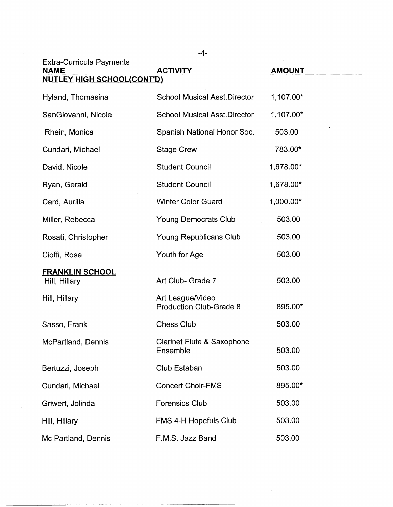| <b>Extra-Curricula Payments</b><br><b>NAME</b> | <b>ACTIVITY</b>                                    | <b>AMOUNT</b> |  |
|------------------------------------------------|----------------------------------------------------|---------------|--|
| <b>NUTLEY HIGH SCHOOL(CONT'D)</b>              |                                                    |               |  |
| Hyland, Thomasina                              | <b>School Musical Asst.Director</b>                | 1,107.00*     |  |
| SanGiovanni, Nicole                            | <b>School Musical Asst.Director</b>                | 1,107.00*     |  |
| Rhein, Monica                                  | Spanish National Honor Soc.                        | 503.00        |  |
| Cundari, Michael                               | <b>Stage Crew</b>                                  | 783.00*       |  |
| David, Nicole                                  | <b>Student Council</b>                             | 1,678.00*     |  |
| Ryan, Gerald                                   | <b>Student Council</b>                             | 1,678.00*     |  |
| Card, Aurilla                                  | <b>Winter Color Guard</b>                          | 1,000.00*     |  |
| Miller, Rebecca                                | <b>Young Democrats Club</b>                        | 503.00        |  |
| Rosati, Christopher                            | <b>Young Republicans Club</b>                      | 503.00        |  |
| Cioffi, Rose                                   | Youth for Age                                      | 503.00        |  |
| <b>FRANKLIN SCHOOL</b><br>Hill, Hillary        | Art Club- Grade 7                                  | 503.00        |  |
| Hill, Hillary                                  | Art League/Video<br><b>Production Club-Grade 8</b> | 895.00*       |  |
| Sasso, Frank                                   | <b>Chess Club</b>                                  | 503.00        |  |
| McPartland, Dennis                             | <b>Clarinet Flute &amp; Saxophone</b><br>Ensemble  | 503.00        |  |
| Bertuzzi, Joseph                               | Club Estaban                                       | 503.00        |  |
| Cundari, Michael                               | <b>Concert Choir-FMS</b>                           | 895.00*       |  |
| Griwert, Jolinda                               | <b>Forensics Club</b>                              | 503.00        |  |
| Hill, Hillary                                  | FMS 4-H Hopefuls Club                              | 503.00        |  |
| Mc Partland, Dennis                            | F.M.S. Jazz Band                                   | 503.00        |  |

 $\sim 4$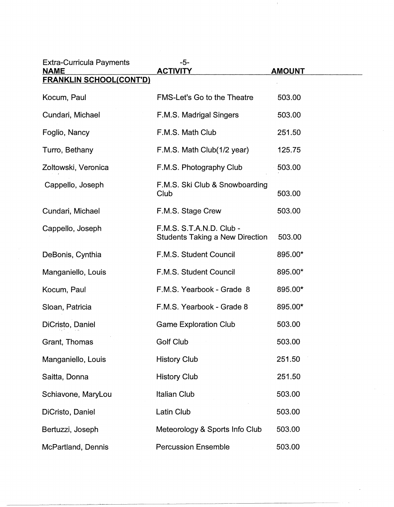| <b>Extra-Curricula Payments</b><br><b>NAME</b> | $-5-$<br><b>ACTIVITY</b>                                           | <b>AMOUNT</b> |
|------------------------------------------------|--------------------------------------------------------------------|---------------|
| <b>FRANKLIN SCHOOL(CONT'D)</b>                 |                                                                    |               |
| Kocum, Paul                                    | FMS-Let's Go to the Theatre                                        | 503.00        |
| Cundari, Michael                               | F.M.S. Madrigal Singers                                            | 503.00        |
| Foglio, Nancy                                  | F.M.S. Math Club                                                   | 251.50        |
| Turro, Bethany                                 | F.M.S. Math Club(1/2 year)                                         | 125.75        |
| Zoltowski, Veronica                            | F.M.S. Photography Club                                            | 503.00        |
| Cappello, Joseph                               | F.M.S. Ski Club & Snowboarding<br>Club                             | 503.00        |
| Cundari, Michael                               | F.M.S. Stage Crew                                                  | 503.00        |
| Cappello, Joseph                               | F.M.S. S.T.A.N.D. Club -<br><b>Students Taking a New Direction</b> | 503.00        |
| DeBonis, Cynthia                               | F.M.S. Student Council                                             | 895.00*       |
| Manganiello, Louis                             | F.M.S. Student Council                                             | 895.00*       |
| Kocum, Paul                                    | F.M.S. Yearbook - Grade 8                                          | 895.00*       |
| Sloan, Patricia                                | F.M.S. Yearbook - Grade 8                                          | 895.00*       |
| DiCristo, Daniel                               | <b>Game Exploration Club</b>                                       | 503.00        |
| Grant, Thomas                                  | Golf Club                                                          | 503.00        |
| Manganiello, Louis                             | <b>History Club</b>                                                | 251.50        |
| Saitta, Donna                                  | <b>History Club</b>                                                | 251.50        |
| Schiavone, MaryLou                             | <b>Italian Club</b>                                                | 503.00        |
| DiCristo, Daniel                               | Latin Club                                                         | 503.00        |
| Bertuzzi, Joseph                               | Meteorology & Sports Info Club                                     | 503.00        |
| McPartland, Dennis                             | <b>Percussion Ensemble</b>                                         | 503.00        |

 $\perp$ 

 $\sim$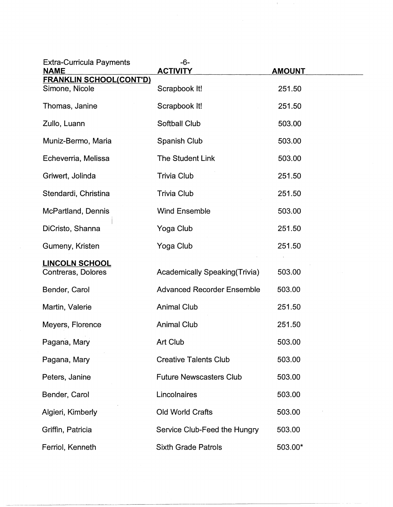| <b>Extra-Curricula Payments</b><br><b>NAME</b> | $-6-$<br><b>ACTIVITY</b>              | <b>AMOUNT</b> |
|------------------------------------------------|---------------------------------------|---------------|
| <b>FRANKLIN SCHOOL(CONT'D)</b>                 |                                       |               |
| Simone, Nicole                                 | Scrapbook It!                         | 251.50        |
| Thomas, Janine                                 | Scrapbook It!                         | 251.50        |
| Zullo, Luann                                   | Softball Club                         | 503.00        |
| Muniz-Bermo, Maria                             | <b>Spanish Club</b>                   | 503.00        |
| Echeverria, Melissa                            | <b>The Student Link</b>               | 503.00        |
| Griwert, Jolinda                               | Trivia Club                           | 251.50        |
| Stendardi, Christina                           | <b>Trivia Club</b>                    | 251.50        |
| McPartland, Dennis                             | <b>Wind Ensemble</b>                  | 503.00        |
| DiCristo, Shanna                               | Yoga Club                             | 251.50        |
| Gumeny, Kristen                                | Yoga Club                             | 251.50        |
| <b>LINCOLN SCHOOL</b>                          |                                       |               |
| Contreras, Dolores                             | <b>Academically Speaking (Trivia)</b> | 503.00        |
| Bender, Carol                                  | <b>Advanced Recorder Ensemble</b>     | 503.00        |
| Martin, Valerie                                | <b>Animal Club</b>                    | 251.50        |
| Meyers, Florence                               | <b>Animal Club</b>                    | 251.50        |
| Pagana, Mary                                   | Art Club                              | 503.00        |
| Pagana, Mary                                   | <b>Creative Talents Club</b>          | 503.00        |
| Peters, Janine                                 | <b>Future Newscasters Club</b>        | 503.00        |
| Bender, Carol                                  | Lincolnaires                          | 503.00        |
| Algieri, Kimberly                              | Old World Crafts                      | 503.00        |
| Griffin, Patricia                              | Service Club-Feed the Hungry          | 503.00        |
| Ferriol, Kenneth                               | <b>Sixth Grade Patrols</b>            | 503.00*       |

 $\sim 4-$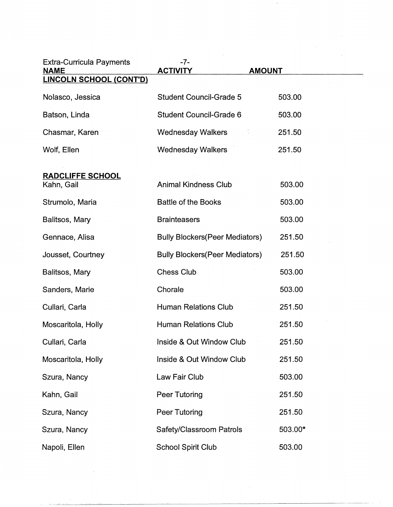| <b>Extra-Curricula Payments</b><br><b>NAME</b><br><b>LINCOLN SCHOOL (CONT'D)</b> | $-7-$<br><b>ACTIVITY</b>               | <b>AMOUNT</b> |  |
|----------------------------------------------------------------------------------|----------------------------------------|---------------|--|
| Nolasco, Jessica                                                                 | <b>Student Council-Grade 5</b>         | 503.00        |  |
| Batson, Linda                                                                    | Student Council-Grade 6                | 503.00        |  |
| Chasmar, Karen                                                                   | <b>Wednesday Walkers</b>               | 251.50        |  |
| Wolf, Ellen                                                                      | <b>Wednesday Walkers</b>               | 251.50        |  |
| <b>RADCLIFFE SCHOOL</b><br>Kahn, Gail                                            | <b>Animal Kindness Club</b>            | 503.00        |  |
| Strumolo, Maria                                                                  | <b>Battle of the Books</b>             | 503.00        |  |
| Balitsos, Mary                                                                   | <b>Brainteasers</b>                    | 503.00        |  |
| Gennace, Alisa                                                                   | <b>Bully Blockers (Peer Mediators)</b> | 251.50        |  |
| Jousset, Courtney                                                                | <b>Bully Blockers (Peer Mediators)</b> | 251.50        |  |
| Balitsos, Mary                                                                   | <b>Chess Club</b>                      | 503.00        |  |
| Sanders, Marie                                                                   | Chorale                                | 503.00        |  |
| Cullari, Carla                                                                   | <b>Human Relations Club</b>            | 251.50        |  |
| Moscaritola, Holly                                                               | <b>Human Relations Club</b>            | 251.50        |  |
| Cullari, Carla                                                                   | Inside & Out Window Club               | 251.50        |  |
| Moscaritola, Holly                                                               | Inside & Out Window Club               | 251.50        |  |
| Szura, Nancy                                                                     | Law Fair Club                          | 503.00        |  |
| Kahn, Gail                                                                       | Peer Tutoring                          | 251.50        |  |
| Szura, Nancy                                                                     | Peer Tutoring                          | 251.50        |  |
| Szura, Nancy                                                                     | Safety/Classroom Patrols               | 503.00*       |  |
| Napoli, Ellen                                                                    | <b>School Spirit Club</b>              | 503.00        |  |

 $\mathcal{L}_{\mathrm{eff}}$ 

 $\sim 10^6$ 

 $\sim 4$  .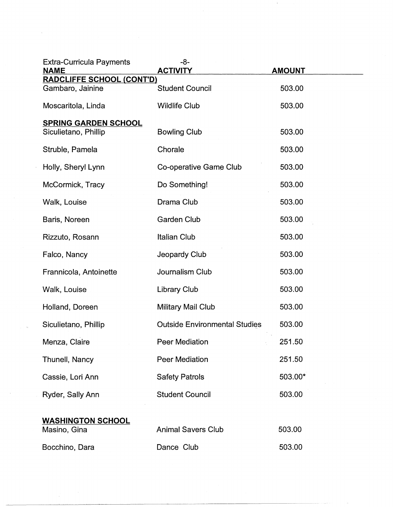| $-8-$<br><b>ACTIVITY</b>             | <b>AMOUNT</b>                                                                             |
|--------------------------------------|-------------------------------------------------------------------------------------------|
| <b>RADCLIFFE SCHOOL (CONT'D)</b>     | 503.00                                                                                    |
|                                      |                                                                                           |
|                                      | 503.00                                                                                    |
| <b>Bowling Club</b>                  | 503.00                                                                                    |
| Chorale                              | 503.00                                                                                    |
| Co-operative Game Club               | 503.00                                                                                    |
| Do Something!                        | 503.00                                                                                    |
| Drama Club                           | 503.00                                                                                    |
| <b>Garden Club</b>                   | 503.00                                                                                    |
| <b>Italian Club</b>                  | 503.00                                                                                    |
| Jeopardy Club                        | 503.00                                                                                    |
| Journalism Club                      | 503.00                                                                                    |
| Library Club                         | 503.00                                                                                    |
| <b>Military Mail Club</b>            | 503.00                                                                                    |
| <b>Outside Environmental Studies</b> | 503.00                                                                                    |
| Peer Mediation                       | 251.50                                                                                    |
| <b>Peer Mediation</b>                | 251.50                                                                                    |
| <b>Safety Patrols</b>                | 503.00*                                                                                   |
| <b>Student Council</b>               | 503.00                                                                                    |
|                                      | 503.00                                                                                    |
|                                      | 503.00                                                                                    |
|                                      | <b>Student Council</b><br><b>Wildlife Club</b><br><b>Animal Savers Club</b><br>Dance Club |

 $\sim 4$  .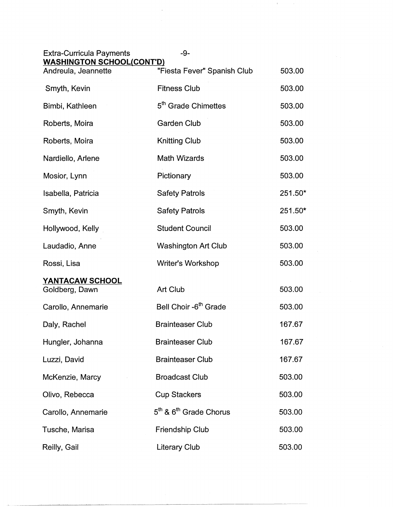| <b>Extra-Curricula Payments</b><br><b>WASHINGTON SCHOOL(CONT'D)</b> | -9-                               |         |
|---------------------------------------------------------------------|-----------------------------------|---------|
| Andreula, Jeannette                                                 | "Fiesta Fever" Spanish Club       | 503.00  |
| Smyth, Kevin                                                        | <b>Fitness Club</b>               | 503.00  |
| Bimbi, Kathleen                                                     | 5 <sup>th</sup> Grade Chimettes   | 503.00  |
| Roberts, Moira                                                      | <b>Garden Club</b>                | 503.00  |
| Roberts, Moira                                                      | <b>Knitting Club</b>              | 503.00  |
| Nardiello, Arlene                                                   | <b>Math Wizards</b>               | 503.00  |
| Mosior, Lynn                                                        | Pictionary                        | 503.00  |
| Isabella, Patricia                                                  | <b>Safety Patrols</b>             | 251.50* |
| Smyth, Kevin                                                        | <b>Safety Patrols</b>             | 251.50* |
| Hollywood, Kelly                                                    | <b>Student Council</b>            | 503.00  |
| Laudadio, Anne                                                      | <b>Washington Art Club</b>        | 503.00  |
| Rossi, Lisa                                                         | Writer's Workshop                 | 503.00  |
| <b>YANTACAW SCHOOL</b><br>Goldberg, Dawn                            | Art Club                          | 503.00  |
| Carollo, Annemarie                                                  | Bell Choir -6 <sup>th</sup> Grade | 503.00  |
| Daly, Rachel                                                        | <b>Brainteaser Club</b>           | 167.67  |
| Hungler, Johanna                                                    | <b>Brainteaser Club</b>           | 167.67  |
| Luzzi, David                                                        | <b>Brainteaser Club</b>           | 167.67  |
| McKenzie, Marcy                                                     | <b>Broadcast Club</b>             | 503.00  |
| Olivo, Rebecca                                                      | <b>Cup Stackers</b>               | 503.00  |
| Carollo, Annemarie                                                  | $5th$ & $6th$ Grade Chorus        | 503.00  |
| Tusche, Marisa                                                      | Friendship Club                   | 503.00  |
| Reilly, Gail                                                        | Literary Club                     | 503.00  |

 $\frac{1}{\sqrt{2\pi}}\int_{0}^{\sqrt{2\pi}}\frac{1}{\sqrt{2\pi}}\left(\frac{1}{2}\right)^{2\pi}d\mu$ 

 $\sim 0.01$  and  $\sim 0.01$